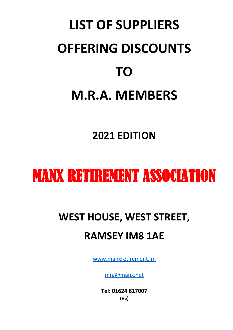# **LIST OF SUPPLIERS OFFERING DISCOUNTS TO M.R.A. MEMBERS**

# **2021 EDITION**

# MANX RETIREMENT ASSOCIATION

# **WEST HOUSE, WEST STREET, RAMSEY IM8 1AE**

[www.manxretirement.im](http://www.manxretirement.im/)

[mra@manx.net](mailto:mra@manx.net)

**Tel: 01624 817007 (V5)**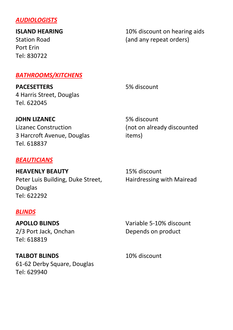# *AUDIOLOGISTS*

**ISLAND HEARING**

Station Road Port Erin Tel: 830722

10% discount on hearing aids (and any repeat orders)

# *BATHROOMS/KITCHENS*

**PACESETTERS** 4 Harris Street, Douglas Tel. 622045

5% discount

**JOHN LIZANEC** Lizanec Construction 3 Harcroft Avenue, Douglas Tel. 618837

# *BEAUTICIANS*

**HEAVENLY BEAUTY** Peter Luis Building, Duke Street, Douglas Tel: 622292

# *BLINDS*

**APOLLO BLINDS** 2/3 Port Jack, Onchan Tel: 618819

**TALBOT BLINDS** 61-62 Derby Square, Douglas Tel: 629940

5% discount (not on already discounted items)

15% discount Hairdressing with Mairead

Variable 5-10% discount Depends on product

10% discount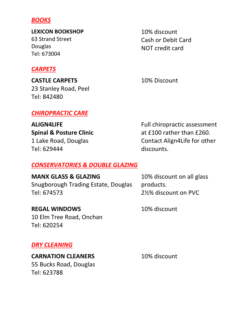#### *BOOKS*

**LEXICON BOOKSHOP** 63 Strand Street Douglas Tel: 673004

# *CARPETS*

**CASTLE CARPETS** 23 Stanley Road, Peel Tel: 842480

*CHIROPRACTIC CARE*

**ALIGN4LIFE Spinal & Posture Clinic** 1 Lake Road, Douglas Tel: 629444

10% discount Cash or Debit Card NOT credit card

10% Discount

Full chiropractic assessment at £100 rather than £260. Contact Align4Life for other discounts.

#### *CONSERVATORIES & DOUBLE GLAZING*

**MANX GLASS & GLAZING** Snugborough Trading Estate, Douglas Tel: 674573

10% discount on all glass products. 2½% discount on PVC

**REGAL WINDOWS** 10 Elm Tree Road, Onchan Tel: 620254

10% discount

#### *DRY CLEANING*

**CARNATION CLEANERS** 55 Bucks Road, Douglas Tel: 623788

10% discount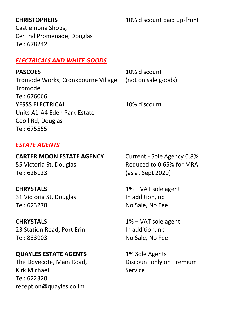# **CHRISTOPHERS**

10% discount paid up-front

Castlemona Shops, Central Promenade, Douglas Tel: 678242

# *ELECTRICALS AND WHITE GOODS*

| <b>PASCOES</b>                     | 10% discount        |
|------------------------------------|---------------------|
| Tromode Works, Cronkbourne Village | (not on sale goods) |
| Tromode                            |                     |
| Tel: 676066                        |                     |
| <b>YESSS ELECTRICAL</b>            | 10% discount        |
| Units A1-A4 Eden Park Estate       |                     |
| Cooil Rd, Douglas                  |                     |
| Tel: 675555                        |                     |
|                                    |                     |

# *ESTATE AGENTS*

# **CARTER MOON ESTATE AGENCY**

55 Victoria St, Douglas Tel: 626123

# **CHRYSTALS**

31 Victoria St, Douglas Tel: 623278

# **CHRYSTALS**

23 Station Road, Port Erin Tel: 833903

# **QUAYLES ESTATE AGENTS**

The Dovecote, Main Road, Kirk Michael Tel: 622320 reception@quayles.co.im

Current - Sole Agency 0.8% Reduced to 0.65% for MRA (as at Sept 2020)

1% + VAT sole agent In addition, nb No Sale, No Fee

1% + VAT sole agent In addition, nb No Sale, No Fee

1% Sole Agents Discount only on Premium Service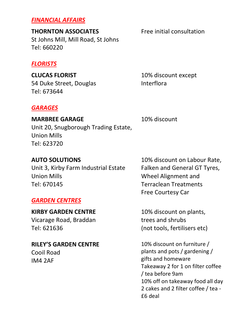# *FINANCIAL AFFAIRS*

**THORNTON ASSOCIATES** St Johns Mill, Mill Road, St Johns Tel: 660220

### *FLORISTS*

**CLUCAS FLORIST** 54 Duke Street, Douglas Tel: 673644

### *GARAGES*

#### **MARBREE GARAGE**

10% discount

Interflora

Unit 20, Snugborough Trading Estate, Union Mills Tel: 623720

**AUTO SOLUTIONS**

Unit 3, Kirby Farm Industrial Estate Union Mills Tel: 670145

### *GARDEN CENTRES*

**KIRBY GARDEN CENTRE** Vicarage Road, Braddan Tel: 621636

# **RILEY'S GARDEN CENTRE**

Cooil Road IM4 2AF

10% discount on Labour Rate, Falken and General GT Tyres, Wheel Alignment and Terraclean Treatments Free Courtesy Car

10% discount on plants, trees and shrubs (not tools, fertilisers etc)

10% discount on furniture / plants and pots / gardening / gifts and homeware Takeaway 2 for 1 on filter coffee / tea before 9am 10% off on takeaway food all day 2 cakes and 2 filter coffee / tea - £6 deal

Free initial consultation

10% discount except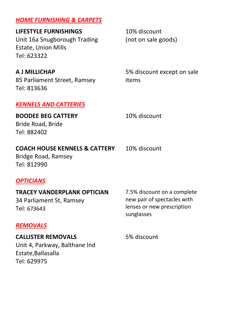# *HOME FURNISHING & CARPETS*

**LIFESTYLE FURNISHINGS** Unit 16a Snugborough Trading Estate, Union Mills Tel: 623322

**A J MILLICHAP** 85 Parliament Street, Ramsey Tel: 813636

*KENNELS AND CATTERIES*

**BOODEE BEG CATTERY** Bride Road, Bride Tel: 882402

#### **COACH HOUSE KENNELS & CATTERY**

Bridge Road, Ramsey Tel: 812990

10% discount (not on sale goods)

5% discount except on sale items

10% discount

10% discount

### *OPTICIANS*

**TRACEY VANDERPLANK OPTICIAN** 34 Parliament St, Ramsey Tel: 673643

7.5% discount on a complete new pair of spectacles with lenses or new prescription sunglasses

#### *REMOVALS*

**CALLISTER REMOVALS** Unit 4, Parkway, Balthane Ind Estate,Ballasalla Tel: 629975

5% discount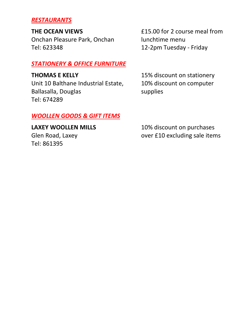# *RESTAURANTS*

**THE OCEAN VIEWS**

Onchan Pleasure Park, Onchan Tel: 623348

## *STATIONERY & OFFICE FURNITURE*

**THOMAS E KELLY** Unit 10 Balthane Industrial Estate, Ballasalla, Douglas Tel: 674289

£15.00 for 2 course meal from lunchtime menu 12-2pm Tuesday - Friday

15% discount on stationery 10% discount on computer supplies

# *WOOLLEN GOODS & GIFT ITEMS*

**LAXEY WOOLLEN MILLS** Glen Road, Laxey Tel: 861395

10% discount on purchases over £10 excluding sale items